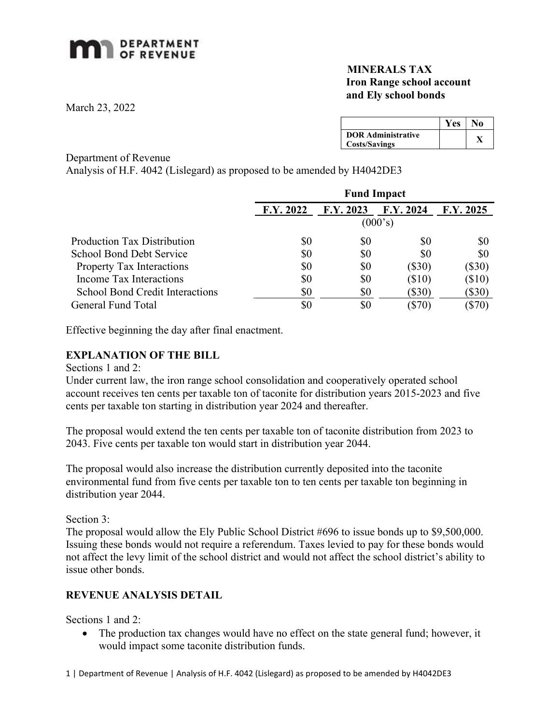# **MAN** DEPARTMENT

## MINERALS TAX Iron Range school account and Ely school bonds

March 23, 2022

|                                                   | Y es | ١o |
|---------------------------------------------------|------|----|
| <b>DOR Administrative</b><br><b>Costs/Savings</b> |      |    |

#### Department of Revenue

Analysis of H.F. 4042 (Lislegard) as proposed to be amended by H4042DE3

|                                        | <b>Fund Impact</b> |           |           |           |
|----------------------------------------|--------------------|-----------|-----------|-----------|
|                                        | F.Y. 2022          | F.Y. 2023 | F.Y. 2024 | F.Y. 2025 |
|                                        | (000's)            |           |           |           |
| <b>Production Tax Distribution</b>     | \$0                | \$0       | \$0       | \$0       |
| School Bond Debt Service               | \$0                | \$0       | \$0       | \$0       |
| <b>Property Tax Interactions</b>       | \$0                | \$0       | $(\$30)$  | $(\$30)$  |
| Income Tax Interactions                | \$0                | \$0       | $(\$10)$  | $(\$10)$  |
| <b>School Bond Credit Interactions</b> | \$0                | \$0       | (\$30)    | $(\$30)$  |
| General Fund Total                     |                    | \$0       | (\$70)    | $(\$70)$  |

Effective beginning the day after final enactment.

### EXPLANATION OF THE BILL

Sections 1 and 2:

Under current law, the iron range school consolidation and cooperatively operated school account receives ten cents per taxable ton of taconite for distribution years 2015-2023 and five cents per taxable ton starting in distribution year 2024 and thereafter.

The proposal would extend the ten cents per taxable ton of taconite distribution from 2023 to 2043. Five cents per taxable ton would start in distribution year 2044.

The proposal would also increase the distribution currently deposited into the taconite environmental fund from five cents per taxable ton to ten cents per taxable ton beginning in distribution year 2044.

Section 3:

The proposal would allow the Ely Public School District #696 to issue bonds up to \$9,500,000. Issuing these bonds would not require a referendum. Taxes levied to pay for these bonds would not affect the levy limit of the school district and would not affect the school district's ability to issue other bonds.

## REVENUE ANALYSIS DETAIL

Sections 1 and 2:

• The production tax changes would have no effect on the state general fund; however, it would impact some taconite distribution funds.

1 | Department of Revenue | Analysis of H.F. 4042 (Lislegard) as proposed to be amended by H4042DE3